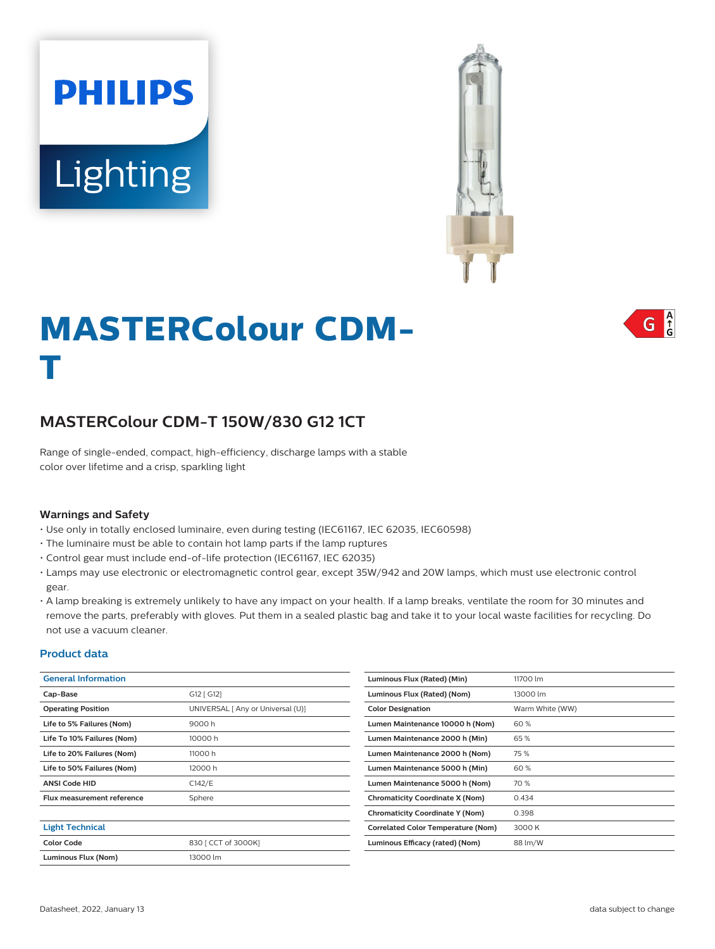



## $\int_{0}^{A}$ G

# **MASTERColour CDM-T**

## **MASTERColour CDM-T 150W/830 G12 1CT**

Range of single-ended, compact, high-efficiency, discharge lamps with a stable color over lifetime and a crisp, sparkling light

#### **Warnings and Safety**

- Use only in totally enclosed luminaire, even during testing (IEC61167, IEC 62035, IEC60598)
- The luminaire must be able to contain hot lamp parts if the lamp ruptures
- Control gear must include end-of-life protection (IEC61167, IEC 62035)
- Lamps may use electronic or electromagnetic control gear, except 35W/942 and 20W lamps, which must use electronic control gear.
- A lamp breaking is extremely unlikely to have any impact on your health. If a lamp breaks, ventilate the room for 30 minutes and remove the parts, preferably with gloves. Put them in a sealed plastic bag and take it to your local waste facilities for recycling. Do not use a vacuum cleaner.

#### **Product data**

| <b>General Information</b>        |                                   | Luminous Flux (Rated) (Min)               | 11700 lm        |
|-----------------------------------|-----------------------------------|-------------------------------------------|-----------------|
| Cap-Base                          | G12 [ G12]                        | Luminous Flux (Rated) (Nom)               | 13000 lm        |
| <b>Operating Position</b>         | UNIVERSAL [ Any or Universal (U)] | <b>Color Designation</b>                  | Warm White (WW) |
| Life to 5% Failures (Nom)         | 9000 h                            | Lumen Maintenance 10000 h (Nom)           | 60%             |
| Life To 10% Failures (Nom)        | 10000 h                           | Lumen Maintenance 2000 h (Min)            | 65%             |
| Life to 20% Failures (Nom)        | 11000h                            | Lumen Maintenance 2000 h (Nom)            | 75%             |
| Life to 50% Failures (Nom)        | 12000 h                           | Lumen Maintenance 5000 h (Min)            | 60%             |
| <b>ANSI Code HID</b>              | C142/E                            | Lumen Maintenance 5000 h (Nom)            | 70 %            |
| <b>Flux measurement reference</b> | Sphere                            | <b>Chromaticity Coordinate X (Nom)</b>    | 0.434           |
|                                   |                                   | <b>Chromaticity Coordinate Y (Nom)</b>    | 0.398           |
| <b>Light Technical</b>            |                                   | <b>Correlated Color Temperature (Nom)</b> | 3000 K          |
| <b>Color Code</b>                 | 830 [ CCT of 3000K]               | Luminous Efficacy (rated) (Nom)           | 88 lm/W         |
| Luminous Flux (Nom)               | 13000 lm                          |                                           |                 |
|                                   |                                   |                                           |                 |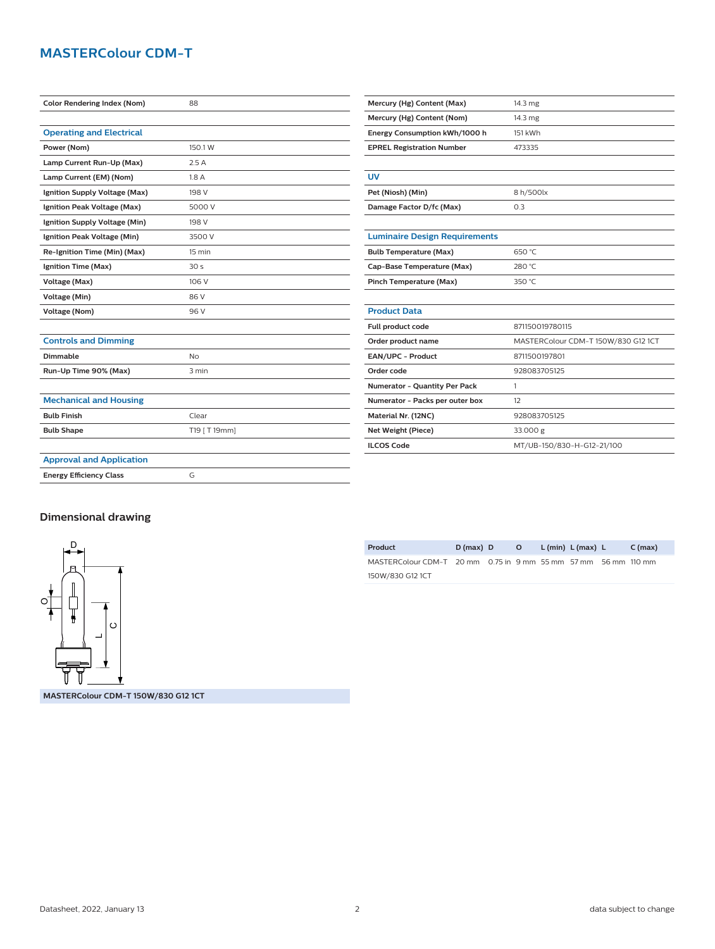## **MASTERColour CDM-T**

| <b>Color Rendering Index (Nom)</b> | 88              | Mercury (Hg) Content (Max)           | 14.3 mg                             |  |  |
|------------------------------------|-----------------|--------------------------------------|-------------------------------------|--|--|
|                                    |                 | Mercury (Hg) Content (Nom)           | 14.3 mg                             |  |  |
| <b>Operating and Electrical</b>    |                 | Energy Consumption kWh/1000 h        | 151 kWh                             |  |  |
| Power (Nom)                        | 150.1 W         | <b>EPREL Registration Number</b>     | 473335                              |  |  |
| Lamp Current Run-Up (Max)          | 2.5A            |                                      |                                     |  |  |
| Lamp Current (EM) (Nom)            | 1.8A            | <b>UV</b>                            |                                     |  |  |
| Ignition Supply Voltage (Max)      | 198 V           | Pet (Niosh) (Min)<br>8 h/500lx       |                                     |  |  |
| Ignition Peak Voltage (Max)        | 5000 V          | Damage Factor D/fc (Max)<br>0.3      |                                     |  |  |
| Ignition Supply Voltage (Min)      | 198 V           |                                      |                                     |  |  |
| Ignition Peak Voltage (Min)        | 3500 V          | <b>Luminaire Design Requirements</b> |                                     |  |  |
| Re-Ignition Time (Min) (Max)       | 15 min          | <b>Bulb Temperature (Max)</b>        | 650 °C                              |  |  |
| Ignition Time (Max)                | 30 <sub>s</sub> | Cap-Base Temperature (Max)           | 280 °C                              |  |  |
| Voltage (Max)                      | 106 V           | Pinch Temperature (Max)              | 350 °C                              |  |  |
| Voltage (Min)                      | 86 V            |                                      |                                     |  |  |
| <b>Voltage (Nom)</b>               | 96 V            | <b>Product Data</b>                  |                                     |  |  |
|                                    |                 | Full product code                    | 871150019780115                     |  |  |
| <b>Controls and Dimming</b>        |                 | Order product name                   | MASTERColour CDM-T 150W/830 G12 1CT |  |  |
| <b>Dimmable</b>                    | No              | EAN/UPC - Product                    | 8711500197801                       |  |  |
| Run-Up Time 90% (Max)              | 3 min           | Order code                           | 928083705125                        |  |  |
|                                    |                 | Numerator - Quantity Per Pack        | $\mathbf{1}$                        |  |  |
| <b>Mechanical and Housing</b>      |                 | Numerator - Packs per outer box      | 12                                  |  |  |
| <b>Bulb Finish</b>                 | Clear           | Material Nr. (12NC)                  | 928083705125                        |  |  |
| <b>Bulb Shape</b>                  | T19 [ T 19mm]   | Net Weight (Piece)                   | 33.000 g                            |  |  |
|                                    |                 | <b>ILCOS Code</b>                    | MT/UB-150/830-H-G12-21/100          |  |  |
| <b>Approval and Application</b>    |                 |                                      |                                     |  |  |
| <b>Energy Efficiency Class</b>     | G               |                                      |                                     |  |  |
|                                    |                 |                                      |                                     |  |  |

## **Dimensional drawing**



**MASTERColour CDM-T 150W/830 G12 1CT**

| Product                                                        | $D(max)$ D |  | O L(min) L(max) L | $C$ (max) |
|----------------------------------------------------------------|------------|--|-------------------|-----------|
| MASTERColour CDM-T 20 mm 0.75 in 9 mm 55 mm 57 mm 56 mm 110 mm |            |  |                   |           |
| 150W/830 G12 1CT                                               |            |  |                   |           |